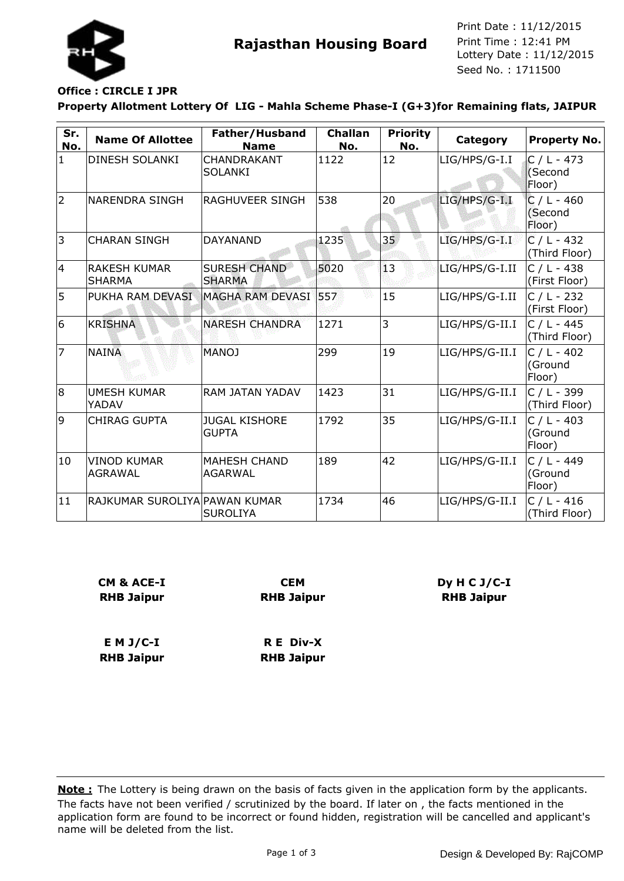

**Rajasthan Housing Board** Print Time : 12:41 PM<br>Lottery Date : 11/12/2015 Seed No. : 1711500 Print Date : 11/12/2015 Print Time : 12:41 PM

# **Office : CIRCLE I JPR**

**Property Allotment Lottery Of LIG - Mahla Scheme Phase-I (G+3)for Remaining flats, JAIPUR**

| Sr.<br>No.   | <b>Name Of Allottee</b>              | Father/Husband<br><b>Name</b>         | <b>Challan</b><br>No. | <b>Priority</b><br>No. | Category       | <b>Property No.</b>                |
|--------------|--------------------------------------|---------------------------------------|-----------------------|------------------------|----------------|------------------------------------|
| $\mathbf{1}$ | <b>DINESH SOLANKI</b>                | <b>CHANDRAKANT</b><br>SOLANKI         | 1122                  | 12                     | LIG/HPS/G-I.I  | $C / L - 473$<br>(Second<br>Floor) |
| 2            | <b>NARENDRA SINGH</b>                | RAGHUVEER SINGH                       | 538                   | 20                     | LIG/HPS/G-I.I  | $C / L - 460$<br>(Second<br>Floor) |
| 3            | <b>CHARAN SINGH</b>                  | <b>DAYANAND</b>                       | 1235                  | 35 <sub>1</sub>        | LIG/HPS/G-I.I  | $C / L - 432$<br>(Third Floor)     |
| 14           | <b>RAKESH KUMAR</b><br><b>SHARMA</b> | <b>SURESH CHAND</b><br><b>SHARMA</b>  | 5020                  | 13                     | LIG/HPS/G-I.II | $C / L - 438$<br>(First Floor)     |
| 5            | PUKHA RAM DEVASI                     | MAGHA RAM DEVASI 557                  |                       | 15                     | LIG/HPS/G-I.II | $C / L - 232$<br>(First Floor)     |
| 6            | <b>KRISHNA</b>                       | <b>NARESH CHANDRA</b>                 | 1271                  | 3                      | LIG/HPS/G-II.I | $C / L - 445$<br>(Third Floor)     |
| 7            | NAINA                                | <b>MANOJ</b>                          | 299                   | 19                     | LIG/HPS/G-II.I | $C / L - 402$<br>(Ground<br>Floor) |
| 8            | <b>UMESH KUMAR</b><br>YADAV          | RAM JATAN YADAV                       | 1423                  | 31                     | LIG/HPS/G-II.I | C / L - 399<br>(Third Floor)       |
| 9            | <b>CHIRAG GUPTA</b>                  | <b>JUGAL KISHORE</b><br><b>GUPTA</b>  | 1792                  | 35                     | LIG/HPS/G-II.I | $C / L - 403$<br>(Ground<br>Floor) |
| 10           | <b>VINOD KUMAR</b><br><b>AGRAWAL</b> | <b>MAHESH CHAND</b><br><b>AGARWAL</b> | 189                   | 42                     | LIG/HPS/G-II.I | $C / L - 449$<br>(Ground<br>Floor) |
| 11           | RAJKUMAR SUROLIYA PAWAN KUMAR        | <b>SUROLIYA</b>                       | 1734                  | 46                     | LIG/HPS/G-II.I | $C / L - 416$<br>(Third Floor)     |

| CM & ACE-I        | <b>CEM</b>        |  |  |  |
|-------------------|-------------------|--|--|--|
| <b>RHB Jaipur</b> | <b>RHB Jaipur</b> |  |  |  |
| $E$ M J/C-I       | R E Div-X         |  |  |  |
| <b>RHB Jaipur</b> | <b>RHB Jaipur</b> |  |  |  |

The facts have not been verified / scrutinized by the board. If later on , the facts mentioned in the application form are found to be incorrect or found hidden, registration will be cancelled and applicant's name will be deleted from the list. **Note :** The Lottery is being drawn on the basis of facts given in the application form by the applicants.

**Dy H C J/C-I RHB Jaipur**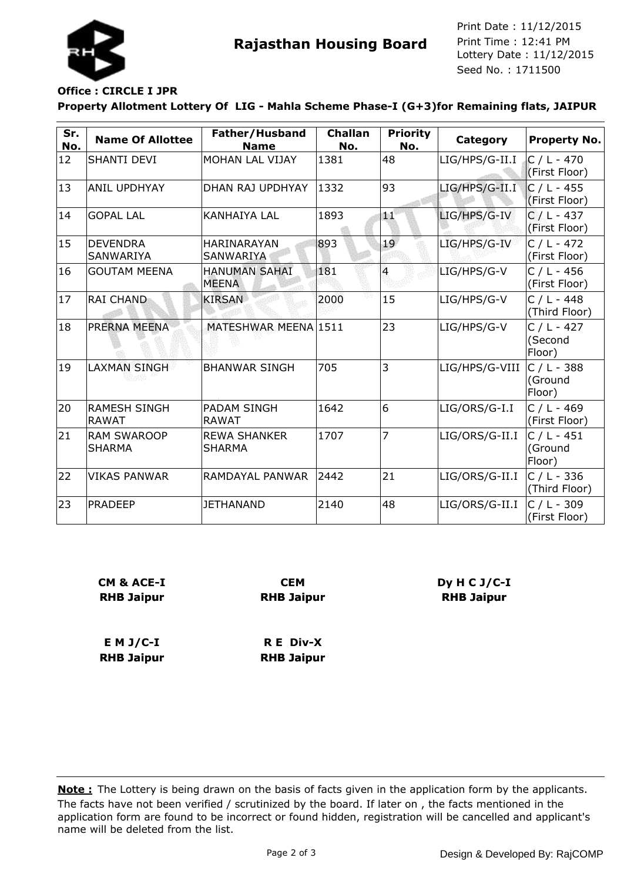

**Rajasthan Housing Board** Print Time : 12:41 PM<br>Lottery Date : 11/12/2015 Seed No. : 1711500 Print Date : 11/12/2015 Print Time : 12:41 PM

# **Office : CIRCLE I JPR**

**Property Allotment Lottery Of LIG - Mahla Scheme Phase-I (G+3)for Remaining flats, JAIPUR**

| Sr.<br>No. | <b>Name Of Allottee</b>              | Father/Husband<br><b>Name</b>        | <b>Challan</b><br>No. | <b>Priority</b><br>No. | Category       | <b>Property No.</b>                       |
|------------|--------------------------------------|--------------------------------------|-----------------------|------------------------|----------------|-------------------------------------------|
| 12         | <b>SHANTI DEVI</b>                   | MOHAN LAL VIJAY                      | 1381                  | 48                     | LIG/HPS/G-II.I | $C / L - 470$<br>(First Floor)            |
| 13         | <b>ANIL UPDHYAY</b>                  | DHAN RAJ UPDHYAY                     | 1332                  | 93                     | LIG/HPS/G-II.I | $C / L - 455$<br>(First Floor)            |
| 14         | <b>GOPAL LAL</b>                     | <b>KANHAIYA LAL</b>                  | 1893                  | æ.                     | LIG/HPS/G-IV   | $C/L - 437$<br>(First Floor)              |
| 15         | <b>IDEVENDRA</b><br><b>SANWARIYA</b> | HARINARAYAN<br>SANWARIYA             | 893                   | 19                     | LIG/HPS/G-IV   | $\overline{C}$ / L - 472<br>(First Floor) |
| 16         | <b>GOUTAM MEENA</b>                  | <b>HANUMAN SAHAI</b><br><b>MEENA</b> | 181                   | $\overline{4}$         | LIG/HPS/G-V    | $C / L - 456$<br>(First Floor)            |
| 17         | <b>RAI CHAND</b>                     | <b>KIRSAN</b>                        | 2000                  | 15                     | LIG/HPS/G-V    | $C / L - 448$<br>(Third Floor)            |
| 18         | PRERNA MEENA                         | MATESHWAR MEENA 1511                 |                       | 23                     | LIG/HPS/G-V    | $C / L - 427$<br>(Second<br>Floor)        |
| 19         | <b>LAXMAN SINGH</b>                  | <b>BHANWAR SINGH</b>                 | 705                   | 3                      | LIG/HPS/G-VIII | $C / L - 388$<br>(Ground<br>Floor)        |
| 20         | <b>RAMESH SINGH</b><br><b>RAWAT</b>  | <b>PADAM SINGH</b><br><b>RAWAT</b>   | 1642                  | 6                      | LIG/ORS/G-I.I  | $C / L - 469$<br>(First Floor)            |
| 21         | <b>RAM SWAROOP</b><br><b>SHARMA</b>  | <b>REWA SHANKER</b><br><b>SHARMA</b> | 1707                  | 7                      | LIG/ORS/G-II.I | $C / L - 451$<br>(Ground<br>Floor)        |
| 22         | <b>VIKAS PANWAR</b>                  | RAMDAYAL PANWAR                      | 2442                  | 21                     | LIG/ORS/G-II.I | C / L - 336<br>(Third Floor)              |
| 23         | <b>PRADEEP</b>                       | <b>JETHANAND</b>                     | 2140                  | 48                     | LIG/ORS/G-II.I | $C / L - 309$<br>(First Floor)            |

| CM & ACE-I        | <b>CEM</b>        |  |  |  |
|-------------------|-------------------|--|--|--|
| <b>RHB Jaipur</b> | <b>RHB Jaipur</b> |  |  |  |
| $E$ M J/C-I       | R E Div-X         |  |  |  |
| <b>RHB Jaipur</b> | <b>RHB Jaipur</b> |  |  |  |

The facts have not been verified / scrutinized by the board. If later on , the facts mentioned in the application form are found to be incorrect or found hidden, registration will be cancelled and applicant's name will be deleted from the list. **Note :** The Lottery is being drawn on the basis of facts given in the application form by the applicants.

**Dy H C J/C-I RHB Jaipur**